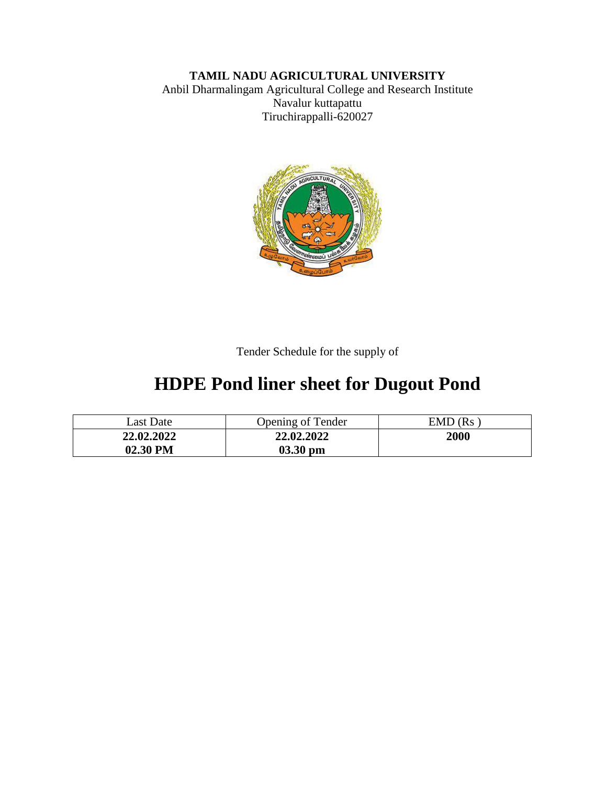## **TAMIL NADU AGRICULTURAL UNIVERSITY**

Anbil Dharmalingam Agricultural College and Research Institute Navalur kuttapattu Tiruchirappalli-620027



Tender Schedule for the supply of

# **HDPE Pond liner sheet for Dugout Pond**

| Last Date  | <b>Opening of Tender</b> | $EMD$ ( $Rs$ |
|------------|--------------------------|--------------|
| 22.02.2022 | 22.02.2022               | 2000         |
| 02.30 PM   | $03.30$ pm               |              |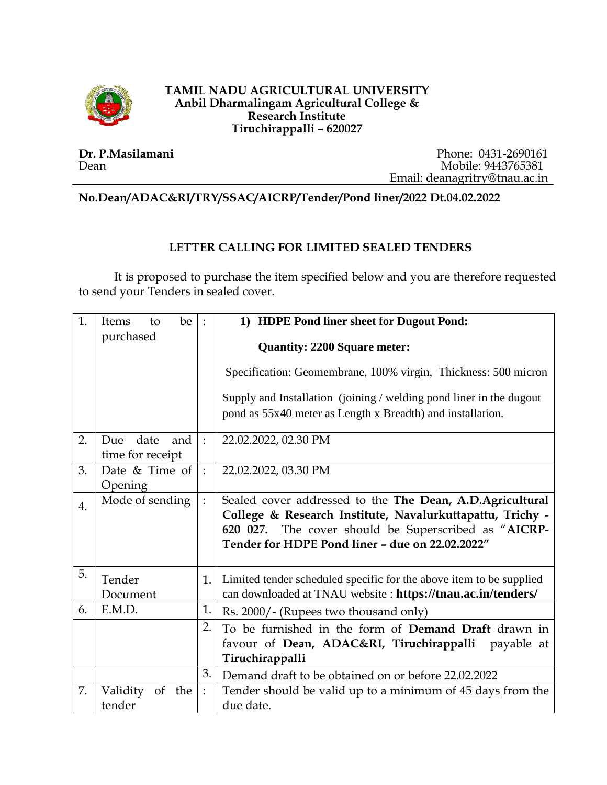

#### **TAMIL NADU AGRICULTURAL UNIVERSITY Anbil Dharmalingam Agricultural College & Research Institute Tiruchirappalli – 620027**

**Dr. P.Masilamani** Dean

Phone: 0431-2690161 Mobile: 9443765381 Email: deanagritry@tnau.ac.in

**No.Dean/ADAC&RI/TRY/SSAC/AICRP/Tender/Pond liner/2022 Dt.04.02.2022**

### **LETTER CALLING FOR LIMITED SEALED TENDERS**

It is proposed to purchase the item specified below and you are therefore requested to send your Tenders in sealed cover.

| 1.               | be<br>Items<br>to  | $\,$ .         | 1) HDPE Pond liner sheet for Dugout Pond:                                                                            |  |
|------------------|--------------------|----------------|----------------------------------------------------------------------------------------------------------------------|--|
|                  | purchased          |                | <b>Quantity: 2200 Square meter:</b>                                                                                  |  |
|                  |                    |                | Specification: Geomembrane, 100% virgin, Thickness: 500 micron                                                       |  |
|                  |                    |                | Supply and Installation (joining / welding pond liner in the dugout                                                  |  |
|                  |                    |                | pond as 55x40 meter as Length x Breadth) and installation.                                                           |  |
| 2.               | Due date<br>and    | $\cdot$        | 22.02.2022, 02.30 PM                                                                                                 |  |
|                  | time for receipt   |                |                                                                                                                      |  |
| 3.               | Date & Time of     | $\ddot{\cdot}$ | 22.02.2022, 03.30 PM                                                                                                 |  |
|                  | Opening            |                |                                                                                                                      |  |
| $\overline{4}$ . | Mode of sending    | $\vdots$       | Sealed cover addressed to the The Dean, A.D.Agricultural                                                             |  |
|                  |                    |                | College & Research Institute, Navalurkuttapattu, Trichy -<br>The cover should be Superscribed as "AICRP-<br>620 027. |  |
|                  |                    |                | Tender for HDPE Pond liner - due on 22.02.2022"                                                                      |  |
|                  |                    |                |                                                                                                                      |  |
| 5.               | Tender             | 1.             | Limited tender scheduled specific for the above item to be supplied                                                  |  |
|                  | Document           |                | can downloaded at TNAU website : https://tnau.ac.in/tenders/                                                         |  |
| 6.               | E.M.D.             | 1.             | Rs. 2000/- (Rupees two thousand only)                                                                                |  |
|                  |                    | 2.             | To be furnished in the form of <b>Demand Draft</b> drawn in                                                          |  |
|                  |                    |                | favour of Dean, ADAC&RI, Tiruchirappalli<br>payable at                                                               |  |
|                  |                    |                | Tiruchirappalli                                                                                                      |  |
|                  |                    | 3.             | Demand draft to be obtained on or before 22.02.2022                                                                  |  |
| 7.               | Validity<br>of the | $\ddot{\cdot}$ | Tender should be valid up to a minimum of 45 days from the                                                           |  |
|                  | tender             |                | due date.                                                                                                            |  |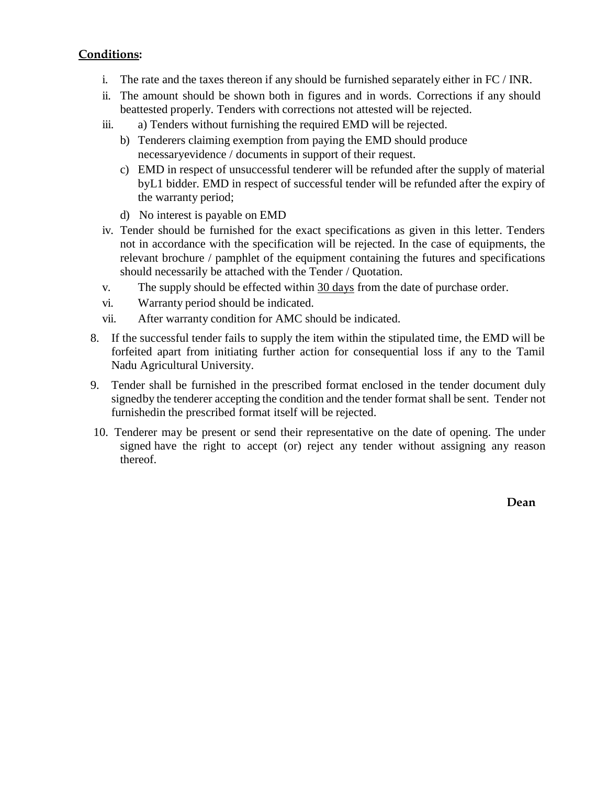#### **Conditions:**

- i. The rate and the taxes thereon if any should be furnished separately either in FC / INR.
- ii. The amount should be shown both in figures and in words. Corrections if any should beattested properly. Tenders with corrections not attested will be rejected.
- iii. a) Tenders without furnishing the required EMD will be rejected.
	- b) Tenderers claiming exemption from paying the EMD should produce necessaryevidence / documents in support of their request.
	- c) EMD in respect of unsuccessful tenderer will be refunded after the supply of material byL1 bidder. EMD in respect of successful tender will be refunded after the expiry of the warranty period;
	- d) No interest is payable on EMD
- iv. Tender should be furnished for the exact specifications as given in this letter. Tenders not in accordance with the specification will be rejected. In the case of equipments, the relevant brochure / pamphlet of the equipment containing the futures and specifications should necessarily be attached with the Tender / Quotation.
- v. The supply should be effected within 30 days from the date of purchase order.
- vi. Warranty period should be indicated.
- vii. After warranty condition for AMC should be indicated.
- 8. If the successful tender fails to supply the item within the stipulated time, the EMD will be forfeited apart from initiating further action for consequential loss if any to the Tamil Nadu Agricultural University.
- 9. Tender shall be furnished in the prescribed format enclosed in the tender document duly signedby the tenderer accepting the condition and the tender format shall be sent. Tender not furnishedin the prescribed format itself will be rejected.
- 10. Tenderer may be present or send their representative on the date of opening. The under signed have the right to accept (or) reject any tender without assigning any reason thereof.

**Dean**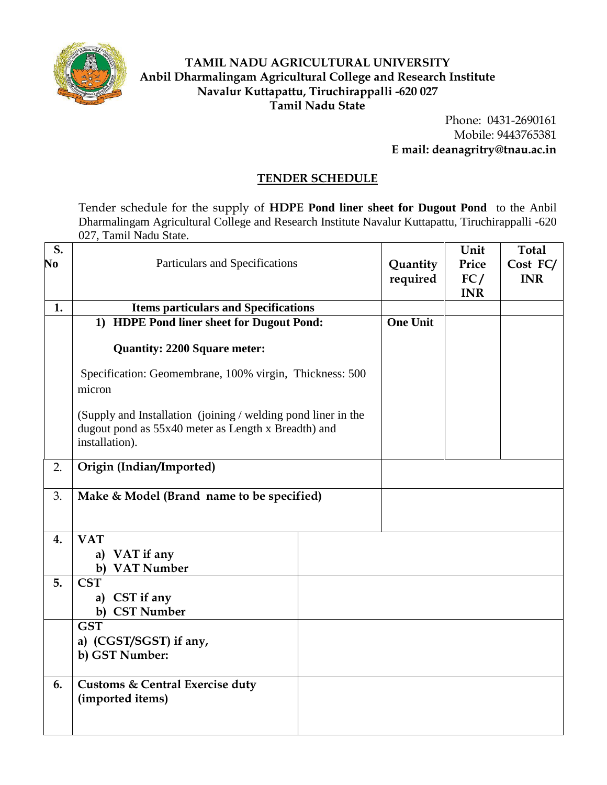

### **TAMIL NADU AGRICULTURAL UNIVERSITY Anbil Dharmalingam Agricultural College and Research Institute Navalur Kuttapattu, Tiruchirappalli -620 027 Tamil Nadu State**

Phone: 0431-2690161 Mobile: 9443765381 **E mail: deanagritry@tnau.ac.in**

#### **TENDER SCHEDULE**

Tender schedule for the supply of **HDPE Pond liner sheet for Dugout Pond** to the Anbil Dharmalingam Agricultural College and Research Institute Navalur Kuttapattu, Tiruchirappalli -620 027, Tamil Nadu State.

| S.<br>No | Particulars and Specifications                                                                                                         | Quantity<br>required | Unit<br>Price<br>FC/<br><b>INR</b> | <b>Total</b><br>Cost FC/<br><b>INR</b> |
|----------|----------------------------------------------------------------------------------------------------------------------------------------|----------------------|------------------------------------|----------------------------------------|
| 1.       | <b>Items particulars and Specifications</b>                                                                                            |                      |                                    |                                        |
|          | 1) HDPE Pond liner sheet for Dugout Pond:                                                                                              | <b>One Unit</b>      |                                    |                                        |
|          | <b>Quantity: 2200 Square meter:</b>                                                                                                    |                      |                                    |                                        |
|          | Specification: Geomembrane, 100% virgin, Thickness: 500<br>micron                                                                      |                      |                                    |                                        |
|          | (Supply and Installation (joining / welding pond liner in the<br>dugout pond as 55x40 meter as Length x Breadth) and<br>installation). |                      |                                    |                                        |
| 2.       | Origin (Indian/Imported)                                                                                                               |                      |                                    |                                        |
| 3.       | Make & Model (Brand name to be specified)                                                                                              |                      |                                    |                                        |
| 4.       | <b>VAT</b><br>VAT if any<br>a)<br><b>VAT Number</b><br>b)                                                                              |                      |                                    |                                        |
| 5.       | <b>CST</b><br>a) CST if any<br><b>CST Number</b><br>b)                                                                                 |                      |                                    |                                        |
|          | <b>GST</b><br>a) (CGST/SGST) if any,<br>b) GST Number:                                                                                 |                      |                                    |                                        |
| 6.       | <b>Customs &amp; Central Exercise duty</b><br>(imported items)                                                                         |                      |                                    |                                        |